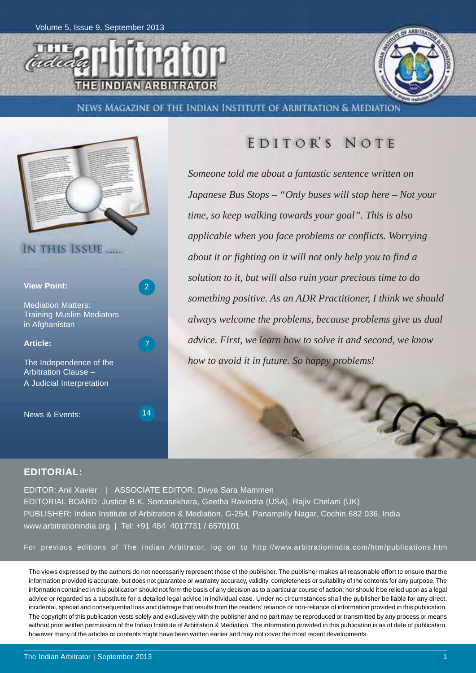



NEWS MAGAZINE OF THE INDIAN INSTITUTE OF ARBITRATION & MEDIATION



### EDITOR'S NOTE

*Someone told me about a fantastic sentence written on Japanese Bus Stops – "Only buses will stop here – Not your time, so keep walking towards your goal". This is also applicable when you face problems or conflicts. Worrying about it or fighting on it will not only help you to find a solution to it, but will also ruin your precious time to do something positive. As an ADR Practitioner, I think we should always welcome the problems, because problems give us dual advice. First, we learn how to solve it and second, we know how to avoid it in future. So happy problems!*

#### **EDITORIAL:**

EDITOR: Anil Xavier | ASSOCIATE EDITOR: Divya Sara Mammen EDITORIAL BOARD: Justice B.K. Somasekhara, Geetha Ravindra (USA), Rajiv Chelani (UK) PUBLISHER: Indian Institute of Arbitration & Mediation, G-254, Panampilly Nagar, Cochin 682 036, India www.arbitrationindia.org | Tel: +91 484 4017731 / 6570101

For previous editions of The Indian Arbitrator, log on to http://www.arbitrationindia.com/htm/publications.htm

The views expressed by the authors do not necessarily represent those of the publisher. The publisher makes all reasonable effort to ensure that the information provided is accurate, but does not guarantee or warranty accuracy, validity, completeness or suitability of the contents for any purpose. The information contained in this publication should not form the basis of any decision as to a particular course of action; nor should it be relied upon as a legal advice or regarded as a substitute for a detailed legal advice in individual case. Under no circumstances shall the publisher be liable for any direct, incidental, special and consequential loss and damage that results from the readers' reliance or non-reliance of information provided in this publication. The copyright of this publication vests solely and exclusively with the publisher and no part may be reproduced or transmitted by any process or means without prior written permission of the Indian Institute of Arbitration & Mediation. The information provided in this publication is as of date of publication, however many of the articles or contents might have been written earlier and may not cover the most recent developments.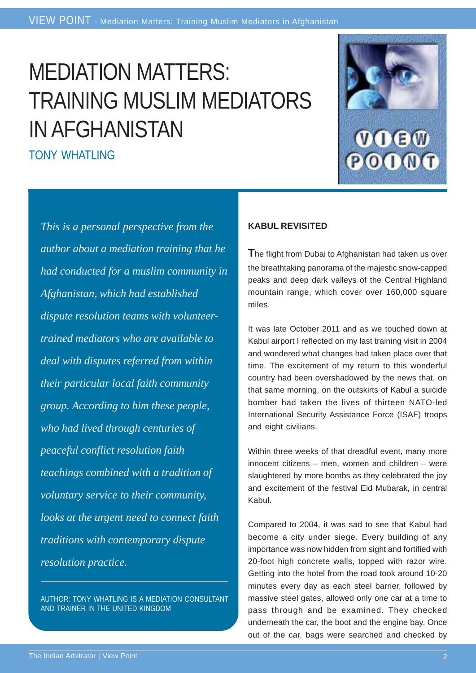# MEDIATION MATTERS: TRAINING MUSLIM MEDIATORS IN AFGHANISTAN

TONY WHATLING



*This is a personal perspective from the author about a mediation training that he had conducted for a muslim community in Afghanistan, which had established dispute resolution teams with volunteertrained mediators who are available to deal with disputes referred from within their particular local faith community group. According to him these people, who had lived through centuries of peaceful conflict resolution faith teachings combined with a tradition of voluntary service to their community, looks at the urgent need to connect faith traditions with contemporary dispute resolution practice.*

AUTHOR: TONY WHATLING IS A MEDIATION CONSULTANT AND TRAINER IN THE UNITED KINGDOM

#### **KABUL REVISITED**

**T**he flight from Dubai to Afghanistan had taken us over the breathtaking panorama of the majestic snow-capped peaks and deep dark valleys of the Central Highland mountain range, which cover over 160,000 square miles.

It was late October 2011 and as we touched down at Kabul airport I reflected on my last training visit in 2004 and wondered what changes had taken place over that time. The excitement of my return to this wonderful country had been overshadowed by the news that, on that same morning, on the outskirts of Kabul a suicide bomber had taken the lives of thirteen NATO-led International Security Assistance Force (ISAF) troops and eight civilians.

Within three weeks of that dreadful event, many more innocent citizens – men, women and children – were slaughtered by more bombs as they celebrated the joy and excitement of the festival Eid Mubarak, in central Kabul.

Compared to 2004, it was sad to see that Kabul had become a city under siege. Every building of any importance was now hidden from sight and fortified with 20-foot high concrete walls, topped with razor wire. Getting into the hotel from the road took around 10-20 minutes every day as each steel barrier, followed by massive steel gates, allowed only one car at a time to pass through and be examined. They checked underneath the car, the boot and the engine bay. Once out of the car, bags were searched and checked by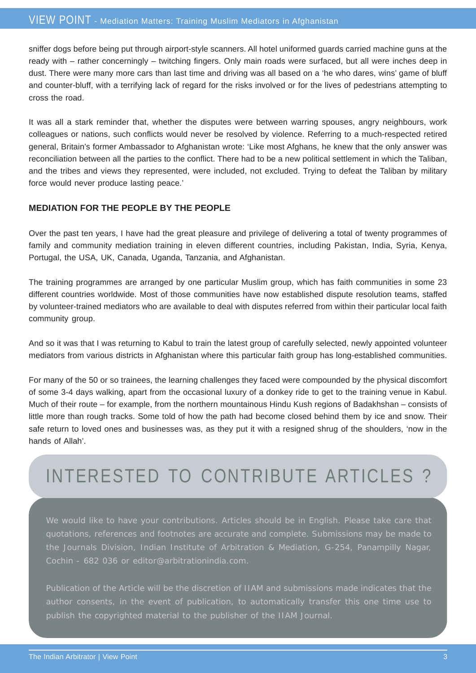sniffer dogs before being put through airport-style scanners. All hotel uniformed guards carried machine guns at the ready with – rather concerningly – twitching fingers. Only main roads were surfaced, but all were inches deep in dust. There were many more cars than last time and driving was all based on a 'he who dares, wins' game of bluff and counter-bluff, with a terrifying lack of regard for the risks involved or for the lives of pedestrians attempting to cross the road.

It was all a stark reminder that, whether the disputes were between warring spouses, angry neighbours, work colleagues or nations, such conflicts would never be resolved by violence. Referring to a much-respected retired general, Britain's former Ambassador to Afghanistan wrote: 'Like most Afghans, he knew that the only answer was reconciliation between all the parties to the conflict. There had to be a new political settlement in which the Taliban, and the tribes and views they represented, were included, not excluded. Trying to defeat the Taliban by military force would never produce lasting peace.'

#### **MEDIATION FOR THE PEOPLE BY THE PEOPLE**

Over the past ten years, I have had the great pleasure and privilege of delivering a total of twenty programmes of family and community mediation training in eleven different countries, including Pakistan, India, Syria, Kenya, Portugal, the USA, UK, Canada, Uganda, Tanzania, and Afghanistan.

The training programmes are arranged by one particular Muslim group, which has faith communities in some 23 different countries worldwide. Most of those communities have now established dispute resolution teams, staffed by volunteer-trained mediators who are available to deal with disputes referred from within their particular local faith community group.

And so it was that I was returning to Kabul to train the latest group of carefully selected, newly appointed volunteer mediators from various districts in Afghanistan where this particular faith group has long-established communities.

For many of the 50 or so trainees, the learning challenges they faced were compounded by the physical discomfort of some 3-4 days walking, apart from the occasional luxury of a donkey ride to get to the training venue in Kabul. Much of their route – for example, from the northern mountainous Hindu Kush regions of Badakhshan – consists of little more than rough tracks. Some told of how the path had become closed behind them by ice and snow. Their safe return to loved ones and businesses was, as they put it with a resigned shrug of the shoulders, 'now in the hands of Allah'.

# INTERESTED TO CONTRIBUTE ARTICLES ?

We would like to have your contributions. Articles should be in English. Please take care that quotations, references and footnotes are accurate and complete. Submissions may be made to the Journals Division, Indian Institute of Arbitration & Mediation, G-254, Panampilly Nagar, Cochin - 682 036 or editor@arbitrationindia.com.

Publication of the Article will be the discretion of IIAM and submissions made indicates that the publish the copyrighted material to the publisher of the IIAM Journal.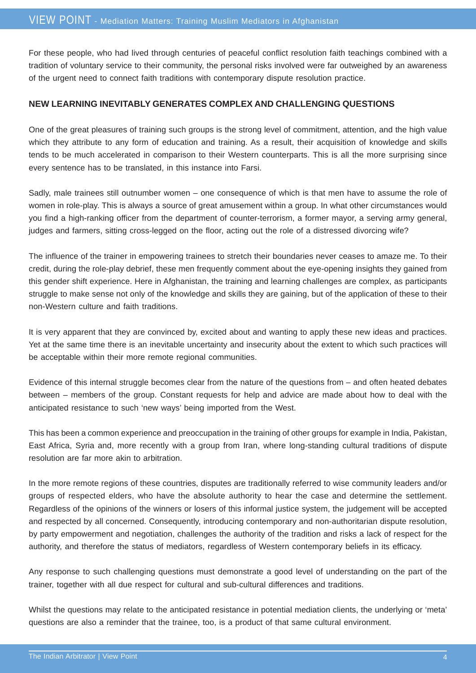For these people, who had lived through centuries of peaceful conflict resolution faith teachings combined with a tradition of voluntary service to their community, the personal risks involved were far outweighed by an awareness of the urgent need to connect faith traditions with contemporary dispute resolution practice.

#### **NEW LEARNING INEVITABLY GENERATES COMPLEX AND CHALLENGING QUESTIONS**

One of the great pleasures of training such groups is the strong level of commitment, attention, and the high value which they attribute to any form of education and training. As a result, their acquisition of knowledge and skills tends to be much accelerated in comparison to their Western counterparts. This is all the more surprising since every sentence has to be translated, in this instance into Farsi.

Sadly, male trainees still outnumber women – one consequence of which is that men have to assume the role of women in role-play. This is always a source of great amusement within a group. In what other circumstances would you find a high-ranking officer from the department of counter-terrorism, a former mayor, a serving army general, judges and farmers, sitting cross-legged on the floor, acting out the role of a distressed divorcing wife?

The influence of the trainer in empowering trainees to stretch their boundaries never ceases to amaze me. To their credit, during the role-play debrief, these men frequently comment about the eye-opening insights they gained from this gender shift experience. Here in Afghanistan, the training and learning challenges are complex, as participants struggle to make sense not only of the knowledge and skills they are gaining, but of the application of these to their non-Western culture and faith traditions.

It is very apparent that they are convinced by, excited about and wanting to apply these new ideas and practices. Yet at the same time there is an inevitable uncertainty and insecurity about the extent to which such practices will be acceptable within their more remote regional communities.

Evidence of this internal struggle becomes clear from the nature of the questions from – and often heated debates between – members of the group. Constant requests for help and advice are made about how to deal with the anticipated resistance to such 'new ways' being imported from the West.

This has been a common experience and preoccupation in the training of other groups for example in India, Pakistan, East Africa, Syria and, more recently with a group from Iran, where long-standing cultural traditions of dispute resolution are far more akin to arbitration.

In the more remote regions of these countries, disputes are traditionally referred to wise community leaders and/or groups of respected elders, who have the absolute authority to hear the case and determine the settlement. Regardless of the opinions of the winners or losers of this informal justice system, the judgement will be accepted and respected by all concerned. Consequently, introducing contemporary and non-authoritarian dispute resolution, by party empowerment and negotiation, challenges the authority of the tradition and risks a lack of respect for the authority, and therefore the status of mediators, regardless of Western contemporary beliefs in its efficacy.

Any response to such challenging questions must demonstrate a good level of understanding on the part of the trainer, together with all due respect for cultural and sub-cultural differences and traditions.

Whilst the questions may relate to the anticipated resistance in potential mediation clients, the underlying or 'meta' questions are also a reminder that the trainee, too, is a product of that same cultural environment.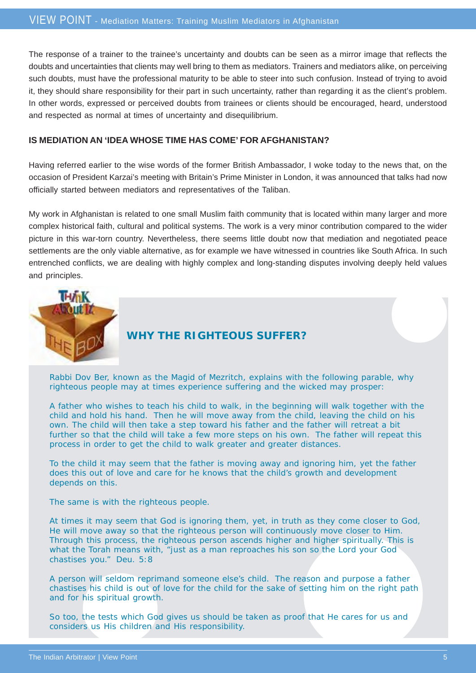The response of a trainer to the trainee's uncertainty and doubts can be seen as a mirror image that reflects the doubts and uncertainties that clients may well bring to them as mediators. Trainers and mediators alike, on perceiving such doubts, must have the professional maturity to be able to steer into such confusion. Instead of trying to avoid it, they should share responsibility for their part in such uncertainty, rather than regarding it as the client's problem. In other words, expressed or perceived doubts from trainees or clients should be encouraged, heard, understood and respected as normal at times of uncertainty and disequilibrium.

#### **IS MEDIATION AN 'IDEA WHOSE TIME HAS COME' FOR AFGHANISTAN?**

Having referred earlier to the wise words of the former British Ambassador, I woke today to the news that, on the occasion of President Karzai's meeting with Britain's Prime Minister in London, it was announced that talks had now officially started between mediators and representatives of the Taliban.

My work in Afghanistan is related to one small Muslim faith community that is located within many larger and more complex historical faith, cultural and political systems. The work is a very minor contribution compared to the wider picture in this war-torn country. Nevertheless, there seems little doubt now that mediation and negotiated peace settlements are the only viable alternative, as for example we have witnessed in countries like South Africa. In such entrenched conflicts, we are dealing with highly complex and long-standing disputes involving deeply held values and principles.



#### **WHY THE RIGHTEOUS SUFFER?**

Rabbi Dov Ber, known as the Magid of Mezritch, explains with the following parable, why righteous people may at times experience suffering and the wicked may prosper:

A father who wishes to teach his child to walk, in the beginning will walk together with the child and hold his hand. Then he will move away from the child, leaving the child on his own. The child will then take a step toward his father and the father will retreat a bit further so that the child will take a few more steps on his own. The father will repeat this process in order to get the child to walk greater and greater distances.

To the child it may seem that the father is moving away and ignoring him, yet the father does this out of love and care for he knows that the child's growth and development depends on this.

The same is with the righteous people.

At times it may seem that God is ignoring them, yet, in truth as they come closer to God, He will move away so that the righteous person will continuously move closer to Him. Through this process, the righteous person ascends higher and higher spiritually. This is what the Torah means with, "just as a man reproaches his son so the Lord your God chastises you." Deu. 5:8

A person will seldom reprimand someone else's child. The reason and purpose a father chastises his child is out of love for the child for the sake of setting him on the right path and for his spiritual growth.

So too, the tests which God gives us should be taken as proof that He cares for us and considers us His children and His responsibility.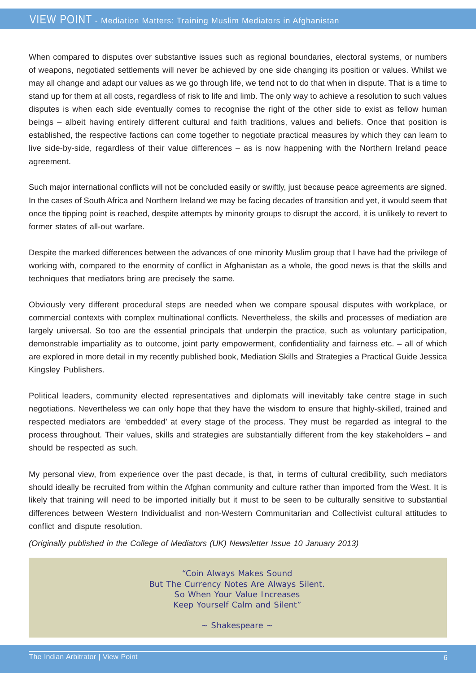When compared to disputes over substantive issues such as regional boundaries, electoral systems, or numbers of weapons, negotiated settlements will never be achieved by one side changing its position or values. Whilst we may all change and adapt our values as we go through life, we tend not to do that when in dispute. That is a time to stand up for them at all costs, regardless of risk to life and limb. The only way to achieve a resolution to such values disputes is when each side eventually comes to recognise the right of the other side to exist as fellow human beings – albeit having entirely different cultural and faith traditions, values and beliefs. Once that position is established, the respective factions can come together to negotiate practical measures by which they can learn to live side-by-side, regardless of their value differences – as is now happening with the Northern Ireland peace agreement.

Such major international conflicts will not be concluded easily or swiftly, just because peace agreements are signed. In the cases of South Africa and Northern Ireland we may be facing decades of transition and yet, it would seem that once the tipping point is reached, despite attempts by minority groups to disrupt the accord, it is unlikely to revert to former states of all-out warfare.

Despite the marked differences between the advances of one minority Muslim group that I have had the privilege of working with, compared to the enormity of conflict in Afghanistan as a whole, the good news is that the skills and techniques that mediators bring are precisely the same.

Obviously very different procedural steps are needed when we compare spousal disputes with workplace, or commercial contexts with complex multinational conflicts. Nevertheless, the skills and processes of mediation are largely universal. So too are the essential principals that underpin the practice, such as voluntary participation, demonstrable impartiality as to outcome, joint party empowerment, confidentiality and fairness etc. – all of which are explored in more detail in my recently published book, Mediation Skills and Strategies a Practical Guide Jessica Kingsley Publishers.

Political leaders, community elected representatives and diplomats will inevitably take centre stage in such negotiations. Nevertheless we can only hope that they have the wisdom to ensure that highly-skilled, trained and respected mediators are 'embedded' at every stage of the process. They must be regarded as integral to the process throughout. Their values, skills and strategies are substantially different from the key stakeholders – and should be respected as such.

My personal view, from experience over the past decade, is that, in terms of cultural credibility, such mediators should ideally be recruited from within the Afghan community and culture rather than imported from the West. It is likely that training will need to be imported initially but it must to be seen to be culturally sensitive to substantial differences between Western Individualist and non-Western Communitarian and Collectivist cultural attitudes to conflict and dispute resolution.

*(Originally published in the College of Mediators (UK) Newsletter Issue 10 January 2013)*

"Coin Always Makes Sound But The Currency Notes Are Always Silent. So When Your Value Increases Keep Yourself Calm and Silent"

~ Shakespeare ~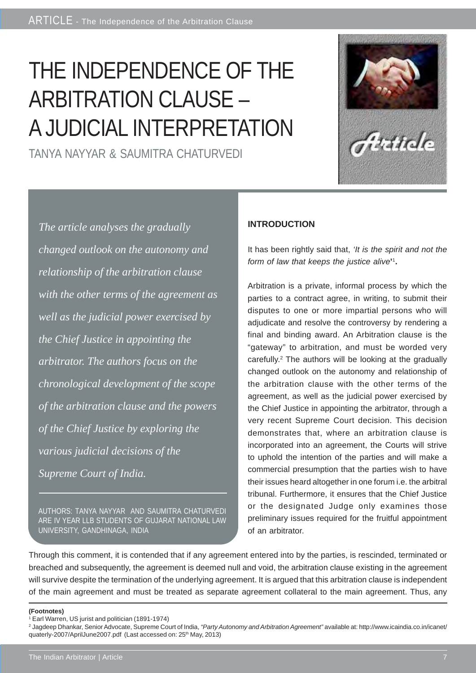# THE INDEPENDENCE OF THE ARBITRATION CLAUSE – A JUDICIAL INTERPRETATION

TANYA NAYYAR & SAUMITRA CHATURVEDI



*The article analyses the gradually changed outlook on the autonomy and relationship of the arbitration clause with the other terms of the agreement as well as the judicial power exercised by the Chief Justice in appointing the arbitrator. The authors focus on the chronological development of the scope of the arbitration clause and the powers of the Chief Justice by exploring the various judicial decisions of the Supreme Court of India.*

AUTHORS: TANYA NAYYAR AND SAUMITRA CHATURVEDI ARE IV YEAR LLB STUDENTS OF GUJARAT NATIONAL LAW UNIVERSITY, GANDHINAGA, INDIA

#### **INTRODUCTION**

It has been rightly said that, *'It is the spirit and not the form of law that keeps the justice alive***'** 1 **.**

Arbitration is a private, informal process by which the parties to a contract agree, in writing, to submit their disputes to one or more impartial persons who will adjudicate and resolve the controversy by rendering a final and binding award. An Arbitration clause is the "gateway" to arbitration, and must be worded very carefully.<sup>2</sup> The authors will be looking at the gradually changed outlook on the autonomy and relationship of the arbitration clause with the other terms of the agreement, as well as the judicial power exercised by the Chief Justice in appointing the arbitrator, through a very recent Supreme Court decision. This decision demonstrates that, where an arbitration clause is incorporated into an agreement, the Courts will strive to uphold the intention of the parties and will make a commercial presumption that the parties wish to have their issues heard altogether in one forum i.e. the arbitral tribunal. Furthermore, it ensures that the Chief Justice or the designated Judge only examines those preliminary issues required for the fruitful appointment of an arbitrator.

Through this comment, it is contended that if any agreement entered into by the parties, is rescinded, terminated or breached and subsequently, the agreement is deemed null and void, the arbitration clause existing in the agreement will survive despite the termination of the underlying agreement. It is argued that this arbitration clause is independent of the main agreement and must be treated as separate agreement collateral to the main agreement. Thus, any

#### **(Footnotes)**

 $\frac{1}{1}$  Earl Warren, US jurist and politician (1891-1974)

<sup>2</sup> Jagdeep Dhankar, Senior Advocate, Supreme Court of India, *"Party Autonomy and Arbitration Agreement"* available at: http://www.icaindia.co.in/icanet/ quaterly-2007/AprilJune2007.pdf (Last accessed on: 25<sup>th</sup> May, 2013)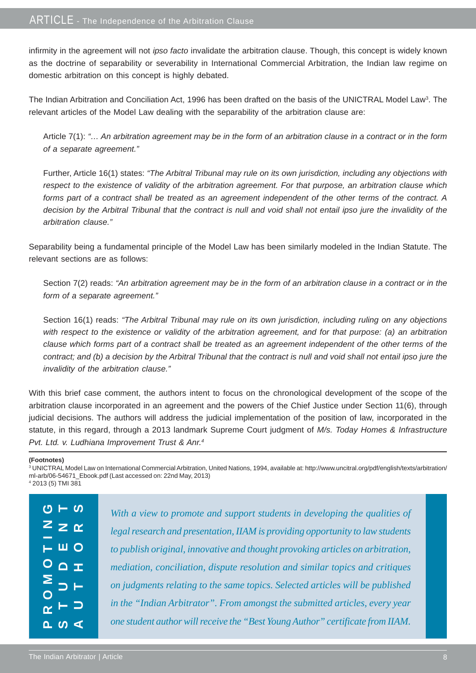infirmity in the agreement will not *ipso facto* invalidate the arbitration clause. Though, this concept is widely known as the doctrine of separability or severability in International Commercial Arbitration, the Indian law regime on domestic arbitration on this concept is highly debated.

The Indian Arbitration and Conciliation Act, 1996 has been drafted on the basis of the UNICTRAL Model Law<sup>3</sup>. The relevant articles of the Model Law dealing with the separability of the arbitration clause are:

Article 7(1): *"… An arbitration agreement may be in the form of an arbitration clause in a contract or in the form of a separate agreement."*

Further, Article 16(1) states: *"The Arbitral Tribunal may rule on its own jurisdiction, including any objections with respect to the existence of validity of the arbitration agreement. For that purpose, an arbitration clause which forms part of a contract shall be treated as an agreement independent of the other terms of the contract. A decision by the Arbitral Tribunal that the contract is null and void shall not entail ipso jure the invalidity of the arbitration clause."*

Separability being a fundamental principle of the Model Law has been similarly modeled in the Indian Statute. The relevant sections are as follows:

Section 7(2) reads: *"An arbitration agreement may be in the form of an arbitration clause in a contract or in the form of a separate agreement."*

Section 16(1) reads: *"The Arbitral Tribunal may rule on its own jurisdiction, including ruling on any objections with respect to the existence or validity of the arbitration agreement, and for that purpose: (a) an arbitration clause which forms part of a contract shall be treated as an agreement independent of the other terms of the contract; and (b) a decision by the Arbitral Tribunal that the contract is null and void shall not entail ipso jure the invalidity of the arbitration clause."*

With this brief case comment, the authors intent to focus on the chronological development of the scope of the arbitration clause incorporated in an agreement and the powers of the Chief Justice under Section 11(6), through judicial decisions. The authors will address the judicial implementation of the position of law, incorporated in the statute, in this regard, through a 2013 landmark Supreme Court judgment of *M/s. Today Homes & Infrastructure Pvt. Ltd. v. Ludhiana Improvement Trust & Anr.4*

#### **(Footnotes)**

3 UNICTRAL Model Law on International Commercial Arbitration, United Nations, 1994, available at: http://www.uncitral.org/pdf/english/texts/arbitration/ ml-arb/06-54671\_Ebook.pdf (Last accessed on: 22nd May, 2013) 4

| <sup>4</sup> 2013 (5) TMI 381 |  |  |  |  |  |  |  |  |  |
|-------------------------------|--|--|--|--|--|--|--|--|--|
|-------------------------------|--|--|--|--|--|--|--|--|--|

| ပ $-$ ပ                                 | With a view to promote and support students in developing the qualities of     |
|-----------------------------------------|--------------------------------------------------------------------------------|
| $Z \geq \alpha$                         | legal research and presentation, IIAM is providing opportunity to law students |
| $\vdash$ $\sqcup$ $\bigcirc$            | to publish original, innovative and thought provoking articles on arbitration, |
| O <sub>AT</sub>                         | mediation, conciliation, dispute resolution and similar topics and critiques   |
| $\sum_{n=1}^{\infty}$                   | on judgments relating to the same topics. Selected articles will be published  |
| $\alpha$ $\vdash$ $\supset$             | in the "Indian Arbitrator". From amongst the submitted articles, every year    |
| $\overline{\mathsf{L}}$ in $\mathsf{L}$ | one student author will receive the "Best Young Author" certificate from IIAM. |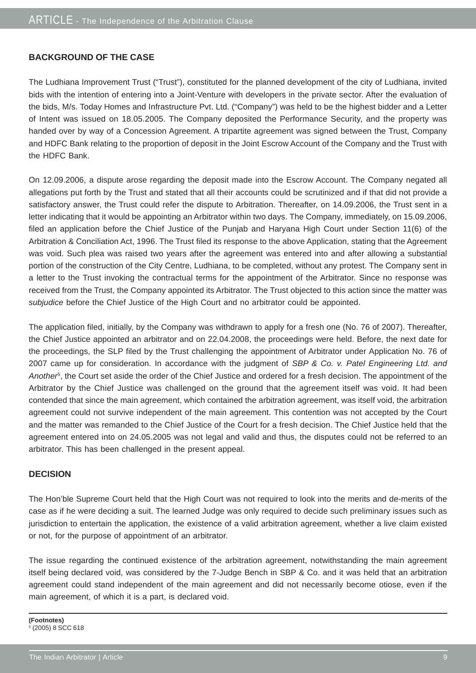#### **BACKGROUND OF THE CASE**

The Ludhiana Improvement Trust ("Trust"), constituted for the planned development of the city of Ludhiana, invited bids with the intention of entering into a Joint-Venture with developers in the private sector. After the evaluation of the bids, M/s. Today Homes and Infrastructure Pvt. Ltd. ("Company") was held to be the highest bidder and a Letter of Intent was issued on 18.05.2005. The Company deposited the Performance Security, and the property was handed over by way of a Concession Agreement. A tripartite agreement was signed between the Trust, Company and HDFC Bank relating to the proportion of deposit in the Joint Escrow Account of the Company and the Trust with the HDFC Bank.

On 12.09.2006, a dispute arose regarding the deposit made into the Escrow Account. The Company negated all allegations put forth by the Trust and stated that all their accounts could be scrutinized and if that did not provide a satisfactory answer, the Trust could refer the dispute to Arbitration. Thereafter, on 14.09.2006, the Trust sent in a letter indicating that it would be appointing an Arbitrator within two days. The Company, immediately, on 15.09.2006, filed an application before the Chief Justice of the Punjab and Haryana High Court under Section 11(6) of the Arbitration & Conciliation Act, 1996. The Trust filed its response to the above Application, stating that the Agreement was void. Such plea was raised two years after the agreement was entered into and after allowing a substantial portion of the construction of the City Centre, Ludhiana, to be completed, without any protest. The Company sent in a letter to the Trust invoking the contractual terms for the appointment of the Arbitrator. Since no response was received from the Trust, the Company appointed its Arbitrator. The Trust objected to this action since the matter was *subjudice* before the Chief Justice of the High Court and no arbitrator could be appointed.

The application filed, initially, by the Company was withdrawn to apply for a fresh one (No. 76 of 2007). Thereafter, the Chief Justice appointed an arbitrator and on 22.04.2008, the proceedings were held. Before, the next date for the proceedings, the SLP filed by the Trust challenging the appointment of Arbitrator under Application No. 76 of 2007 came up for consideration. In accordance with the judgment of *SBP & Co. v. Patel Engineering Ltd. and Another*<sup>5</sup> , the Court set aside the order of the Chief Justice and ordered for a fresh decision. The appointment of the Arbitrator by the Chief Justice was challenged on the ground that the agreement itself was void. It had been contended that since the main agreement, which contained the arbitration agreement, was itself void, the arbitration agreement could not survive independent of the main agreement. This contention was not accepted by the Court and the matter was remanded to the Chief Justice of the Court for a fresh decision. The Chief Justice held that the agreement entered into on 24.05.2005 was not legal and valid and thus, the disputes could not be referred to an arbitrator. This has been challenged in the present appeal.

#### **DECISION**

The Hon'ble Supreme Court held that the High Court was not required to look into the merits and de-merits of the case as if he were deciding a suit. The learned Judge was only required to decide such preliminary issues such as jurisdiction to entertain the application, the existence of a valid arbitration agreement, whether a live claim existed or not, for the purpose of appointment of an arbitrator.

The issue regarding the continued existence of the arbitration agreement, notwithstanding the main agreement itself being declared void, was considered by the 7-Judge Bench in SBP & Co. and it was held that an arbitration agreement could stand independent of the main agreement and did not necessarily become otiose, even if the main agreement, of which it is a part, is declared void.

**(Footnotes)** 5 (2005) 8 SCC 618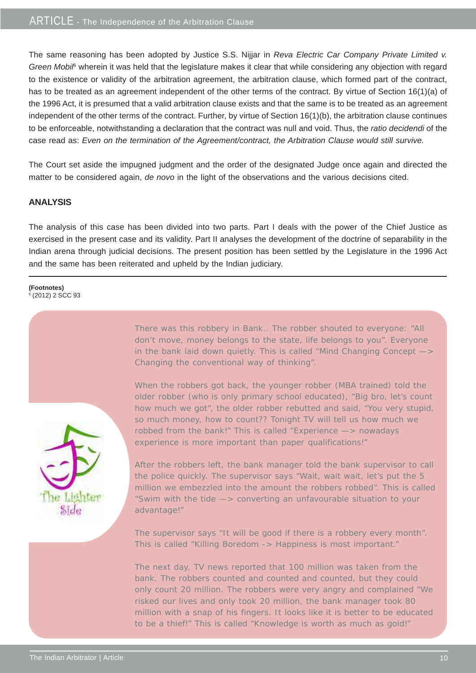The same reasoning has been adopted by Justice S.S. Nijjar in *Reva Electric Car Company Private Limited v. Green Mobil*6 wherein it was held that the legislature makes it clear that while considering any objection with regard to the existence or validity of the arbitration agreement, the arbitration clause, which formed part of the contract, has to be treated as an agreement independent of the other terms of the contract. By virtue of Section 16(1)(a) of the 1996 Act, it is presumed that a valid arbitration clause exists and that the same is to be treated as an agreement independent of the other terms of the contract. Further, by virtue of Section 16(1)(b), the arbitration clause continues to be enforceable, notwithstanding a declaration that the contract was null and void. Thus, the *ratio decidendi* of the case read as: *Even on the termination of the Agreement/contract, the Arbitration Clause would still survive.*

The Court set aside the impugned judgment and the order of the designated Judge once again and directed the matter to be considered again, *de novo* in the light of the observations and the various decisions cited.

#### **ANALYSIS**

The analysis of this case has been divided into two parts. Part I deals with the power of the Chief Justice as exercised in the present case and its validity. Part II analyses the development of the doctrine of separability in the Indian arena through judicial decisions. The present position has been settled by the Legislature in the 1996 Act and the same has been reiterated and upheld by the Indian judiciary.

#### **(Footnotes)**

6 (2012) 2 SCC 93



There was this robbery in Bank.. The robber shouted to everyone: "All don't move, money belongs to the state, life belongs to you". Everyone in the bank laid down quietly. This is called "Mind Changing Concept —> Changing the conventional way of thinking".

When the robbers got back, the younger robber (MBA trained) told the older robber (who is only primary school educated), "Big bro, let's count how much we got", the older robber rebutted and said, "You very stupid, so much money, how to count?? Tonight TV will tell us how much we robbed from the bank!" This is called "Experience —> nowadays experience is more important than paper qualifications!"

After the robbers left, the bank manager told the bank supervisor to call the police quickly. The supervisor says "Wait, wait wait, let's put the 5 million we embezzled into the amount the robbers robbed". This is called "Swim with the tide —> converting an unfavourable situation to your advantage!"

The supervisor says "It will be good if there is a robbery every month". This is called "Killing Boredom -> Happiness is most important."

The next day, TV news reported that 100 million was taken from the bank. The robbers counted and counted and counted, but they could only count 20 million. The robbers were very angry and complained "We risked our lives and only took 20 million, the bank manager took 80 million with a snap of his fingers. It looks like it is better to be educated to be a thief!" This is called "Knowledge is worth as much as gold!"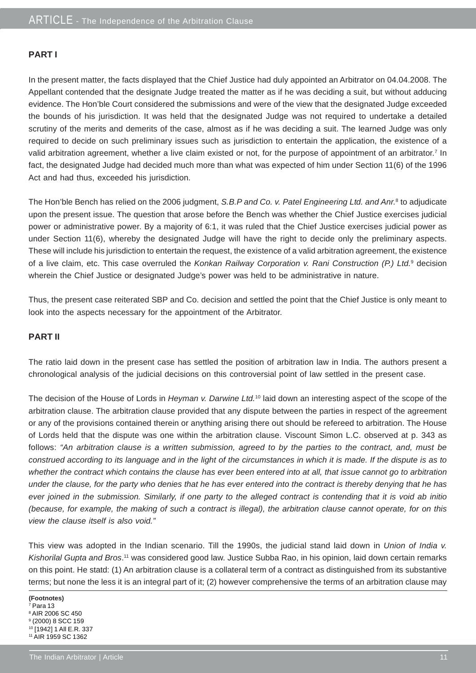#### **PART I**

In the present matter, the facts displayed that the Chief Justice had duly appointed an Arbitrator on 04.04.2008. The Appellant contended that the designate Judge treated the matter as if he was deciding a suit, but without adducing evidence. The Hon'ble Court considered the submissions and were of the view that the designated Judge exceeded the bounds of his jurisdiction. It was held that the designated Judge was not required to undertake a detailed scrutiny of the merits and demerits of the case, almost as if he was deciding a suit. The learned Judge was only required to decide on such preliminary issues such as jurisdiction to entertain the application, the existence of a valid arbitration agreement, whether a live claim existed or not, for the purpose of appointment of an arbitrator.<sup>7</sup> In fact, the designated Judge had decided much more than what was expected of him under Section 11(6) of the 1996 Act and had thus, exceeded his jurisdiction.

The Hon'ble Bench has relied on the 2006 judgment, *S.B.P and Co. v. Patel Engineering Ltd. and Anr.*<sup>8</sup> to adjudicate upon the present issue. The question that arose before the Bench was whether the Chief Justice exercises judicial power or administrative power. By a majority of 6:1, it was ruled that the Chief Justice exercises judicial power as under Section 11(6), whereby the designated Judge will have the right to decide only the preliminary aspects. These will include his jurisdiction to entertain the request, the existence of a valid arbitration agreement, the existence of a live claim, etc. This case overruled the *Konkan Railway Corporation v. Rani Construction (P.) Ltd.*<sup>9</sup> decision wherein the Chief Justice or designated Judge's power was held to be administrative in nature.

Thus, the present case reiterated SBP and Co. decision and settled the point that the Chief Justice is only meant to look into the aspects necessary for the appointment of the Arbitrator.

#### **PART II**

The ratio laid down in the present case has settled the position of arbitration law in India. The authors present a chronological analysis of the judicial decisions on this controversial point of law settled in the present case.

The decision of the House of Lords in *Heyman v. Darwine Ltd.*<sup>10</sup> laid down an interesting aspect of the scope of the arbitration clause. The arbitration clause provided that any dispute between the parties in respect of the agreement or any of the provisions contained therein or anything arising there out should be refereed to arbitration. The House of Lords held that the dispute was one within the arbitration clause. Viscount Simon L.C. observed at p. 343 as follows: *"An arbitration clause is a written submission, agreed to by the parties to the contract, and, must be construed according to its language and in the light of the circumstances in which it is made. If the dispute is as to whether the contract which contains the clause has ever been entered into at all, that issue cannot go to arbitration under the clause, for the party who denies that he has ever entered into the contract is thereby denying that he has ever joined in the submission. Similarly, if one party to the alleged contract is contending that it is void ab initio (because, for example, the making of such a contract is illegal), the arbitration clause cannot operate, for on this view the clause itself is also void."*

This view was adopted in the Indian scenario. Till the 1990s, the judicial stand laid down in *Union of India v.* Kishorilal Gupta and Bros.<sup>11</sup> was considered good law. Justice Subba Rao, in his opinion, laid down certain remarks on this point. He statd: (1) An arbitration clause is a collateral term of a contract as distinguished from its substantive terms; but none the less it is an integral part of it; (2) however comprehensive the terms of an arbitration clause may

**(Footnotes)** 7 Para 13 8 AIR 2006 SC 450 9 (2000) 8 SCC 159 <sup>10</sup> [1942] 1 All E.R. 337 11 AIR 1959 SC 1362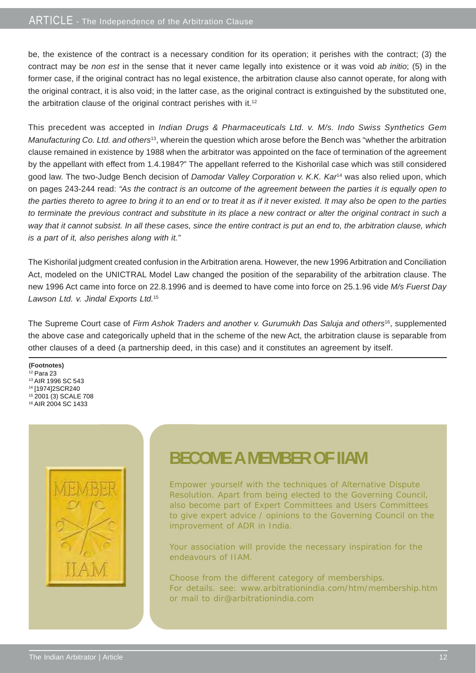be, the existence of the contract is a necessary condition for its operation; it perishes with the contract; (3) the contract may be *non est* in the sense that it never came legally into existence or it was void *ab initio*; (5) in the former case, if the original contract has no legal existence, the arbitration clause also cannot operate, for along with the original contract, it is also void; in the latter case, as the original contract is extinguished by the substituted one, the arbitration clause of the original contract perishes with it.<sup>12</sup>

This precedent was accepted in *Indian Drugs & Pharmaceuticals Ltd. v. M/s. Indo Swiss Synthetics Gem Manufacturing Co. Ltd. and others*13, wherein the question which arose before the Bench was "whether the arbitration clause remained in existence by 1988 when the arbitrator was appointed on the face of termination of the agreement by the appellant with effect from 1.4.1984?" The appellant referred to the Kishorilal case which was still considered good law. The two-Judge Bench decision of *Damodar Valley Corporation v. K.K. Kar*14 was also relied upon, which on pages 243-244 read: *"As the contract is an outcome of the agreement between the parties it is equally open to the parties thereto to agree to bring it to an end or to treat it as if it never existed. It may also be open to the parties to terminate the previous contract and substitute in its place a new contract or alter the original contract in such a way that it cannot subsist. In all these cases, since the entire contract is put an end to, the arbitration clause, which is a part of it, also perishes along with it."*

The Kishorilal judgment created confusion in the Arbitration arena. However, the new 1996 Arbitration and Conciliation Act, modeled on the UNICTRAL Model Law changed the position of the separability of the arbitration clause. The new 1996 Act came into force on 22.8.1996 and is deemed to have come into force on 25.1.96 vide *M/s Fuerst Day Lawson Ltd. v. Jindal Exports Ltd.*<sup>15</sup>

The Supreme Court case of *Firm Ashok Traders and another v. Gurumukh Das Saluja and others*16, supplemented the above case and categorically upheld that in the scheme of the new Act, the arbitration clause is separable from other clauses of a deed (a partnership deed, in this case) and it constitutes an agreement by itself.

**(Footnotes)**  $i<sup>2</sup>$  Para 23 13 AIR 1996 SC 543 14 [1974]2SCR240

15 2001 (3) SCALE 708 16 AIR 2004 SC 1433



## **BECOME A MEMBER OF IIAM**

Empower yourself with the techniques of Alternative Dispute Resolution. Apart from being elected to the Governing Council, also become part of Expert Committees and Users Committees to give expert advice / opinions to the Governing Council on the improvement of ADR in India.

Your association will provide the necessary inspiration for the endeavours of IIAM.

Choose from the different category of memberships. For details. see: www.arbitrationindia.com/htm/membership.htm or mail to dir@arbitrationindia.com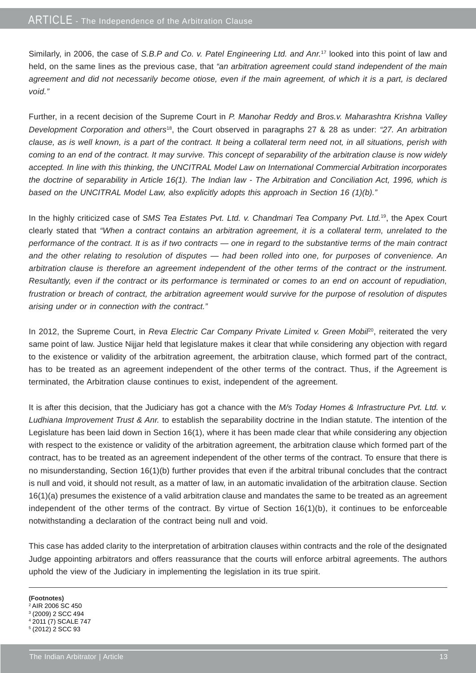Similarly, in 2006, the case of *S.B.P and Co. v. Patel Engineering Ltd. and Anr.*<sup>17</sup> looked into this point of law and held, on the same lines as the previous case, that *"an arbitration agreement could stand independent of the main agreement and did not necessarily become otiose, even if the main agreement, of which it is a part, is declared void."*

Further, in a recent decision of the Supreme Court in *P. Manohar Reddy and Bros.v. Maharashtra Krishna Valley Development Corporation and others*18, the Court observed in paragraphs 27 & 28 as under: *"27. An arbitration clause, as is well known, is a part of the contract. It being a collateral term need not, in all situations, perish with coming to an end of the contract. It may survive. This concept of separability of the arbitration clause is now widely accepted. In line with this thinking, the UNCITRAL Model Law on International Commercial Arbitration incorporates the doctrine of separability in Article 16(1). The Indian law - The Arbitration and Conciliation Act, 1996, which is based on the UNCITRAL Model Law, also explicitly adopts this approach in Section 16 (1)(b)."*

In the highly criticized case of *SMS Tea Estates Pvt. Ltd. v. Chandmari Tea Company Pvt. Ltd.*19, the Apex Court clearly stated that *"When a contract contains an arbitration agreement, it is a collateral term, unrelated to the performance of the contract. It is as if two contracts — one in regard to the substantive terms of the main contract and the other relating to resolution of disputes — had been rolled into one, for purposes of convenience. An arbitration clause is therefore an agreement independent of the other terms of the contract or the instrument. Resultantly, even if the contract or its performance is terminated or comes to an end on account of repudiation, frustration or breach of contract, the arbitration agreement would survive for the purpose of resolution of disputes arising under or in connection with the contract."*

In 2012, the Supreme Court, in *Reva Electric Car Company Private Limited v. Green Mobil*<sup>20</sup>, reiterated the very same point of law. Justice Nijjar held that legislature makes it clear that while considering any objection with regard to the existence or validity of the arbitration agreement, the arbitration clause, which formed part of the contract, has to be treated as an agreement independent of the other terms of the contract. Thus, if the Agreement is terminated, the Arbitration clause continues to exist, independent of the agreement.

It is after this decision, that the Judiciary has got a chance with the *M/s Today Homes & Infrastructure Pvt. Ltd. v. Ludhiana Improvement Trust & Anr.* to establish the separability doctrine in the Indian statute. The intention of the Legislature has been laid down in Section 16(1), where it has been made clear that while considering any objection with respect to the existence or validity of the arbitration agreement, the arbitration clause which formed part of the contract, has to be treated as an agreement independent of the other terms of the contract. To ensure that there is no misunderstanding, Section 16(1)(b) further provides that even if the arbitral tribunal concludes that the contract is null and void, it should not result, as a matter of law, in an automatic invalidation of the arbitration clause. Section 16(1)(a) presumes the existence of a valid arbitration clause and mandates the same to be treated as an agreement independent of the other terms of the contract. By virtue of Section 16(1)(b), it continues to be enforceable notwithstanding a declaration of the contract being null and void.

This case has added clarity to the interpretation of arbitration clauses within contracts and the role of the designated Judge appointing arbitrators and offers reassurance that the courts will enforce arbitral agreements. The authors uphold the view of the Judiciary in implementing the legislation in its true spirit.

**(Footnotes)** AIR 2006 SC 450 (2009) 2 SCC 494 2011 (7) SCALE 747 (2012) 2 SCC 93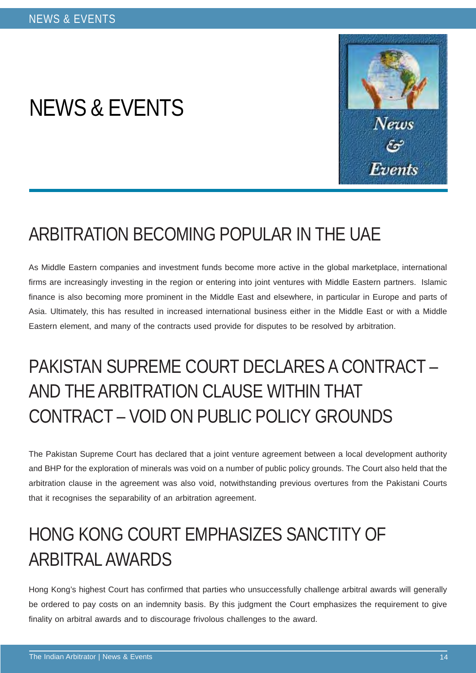# NEWS & EVENTS



# ARBITRATION BECOMING POPULAR IN THE UAF

As Middle Eastern companies and investment funds become more active in the global marketplace, international firms are increasingly investing in the region or entering into joint ventures with Middle Eastern partners. Islamic finance is also becoming more prominent in the Middle East and elsewhere, in particular in Europe and parts of Asia. Ultimately, this has resulted in increased international business either in the Middle East or with a Middle Eastern element, and many of the contracts used provide for disputes to be resolved by arbitration.

# PAKISTAN SUPREME COURT DECLARES A CONTRACT – AND THE ARBITRATION CLAUSE WITHIN THAT CONTRACT – VOID ON PUBLIC POLICY GROUNDS

The Pakistan Supreme Court has declared that a joint venture agreement between a local development authority and BHP for the exploration of minerals was void on a number of public policy grounds. The Court also held that the arbitration clause in the agreement was also void, notwithstanding previous overtures from the Pakistani Courts that it recognises the separability of an arbitration agreement.

# HONG KONG COURT EMPHASIZES SANCTITY OF ARBITRAL AWARDS

Hong Kong's highest Court has confirmed that parties who unsuccessfully challenge arbitral awards will generally be ordered to pay costs on an indemnity basis. By this judgment the Court emphasizes the requirement to give finality on arbitral awards and to discourage frivolous challenges to the award.